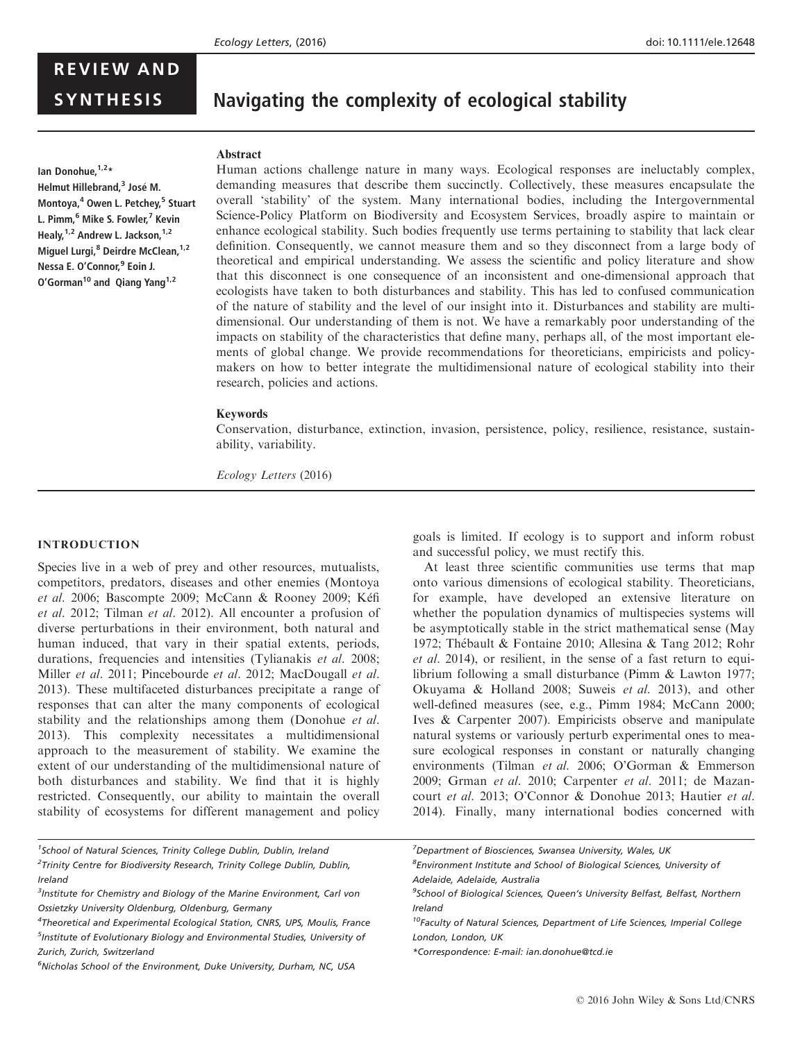# REVIEW AND

# SYNTHESIS Navigating the complexity of ecological stability

# Abstract

# Ian Donohue,  $1,2*$ Helmut Hillebrand,<sup>3</sup> José M. Montoya,<sup>4</sup> Owen L. Petchey,<sup>5</sup> Stuart L. Pimm,<sup>6</sup> Mike S. Fowler,<sup>7</sup> Kevin Healy, <sup>1,2</sup> Andrew L. Jackson, <sup>1,2</sup> Miguel Lurgi,<sup>8</sup> Deirdre McClean,<sup>1,2</sup> Nessa E. O'Connor.<sup>9</sup> Eoin J. O'Gorman<sup>10</sup> and Oiang Yang<sup>1,2</sup>

Human actions challenge nature in many ways. Ecological responses are ineluctably complex, demanding measures that describe them succinctly. Collectively, these measures encapsulate the overall 'stability' of the system. Many international bodies, including the Intergovernmental Science-Policy Platform on Biodiversity and Ecosystem Services, broadly aspire to maintain or enhance ecological stability. Such bodies frequently use terms pertaining to stability that lack clear definition. Consequently, we cannot measure them and so they disconnect from a large body of theoretical and empirical understanding. We assess the scientific and policy literature and show that this disconnect is one consequence of an inconsistent and one-dimensional approach that ecologists have taken to both disturbances and stability. This has led to confused communication of the nature of stability and the level of our insight into it. Disturbances and stability are multidimensional. Our understanding of them is not. We have a remarkably poor understanding of the impacts on stability of the characteristics that define many, perhaps all, of the most important elements of global change. We provide recommendations for theoreticians, empiricists and policymakers on how to better integrate the multidimensional nature of ecological stability into their research, policies and actions.

# Keywords

Conservation, disturbance, extinction, invasion, persistence, policy, resilience, resistance, sustainability, variability.

goals is limited. If ecology is to support and inform robust

At least three scientific communities use terms that map onto various dimensions of ecological stability. Theoreticians, for example, have developed an extensive literature on whether the population dynamics of multispecies systems will be asymptotically stable in the strict mathematical sense (May 1972; Thebault & Fontaine 2010; Allesina & Tang 2012; Rohr et al. 2014), or resilient, in the sense of a fast return to equilibrium following a small disturbance (Pimm & Lawton 1977; Okuyama & Holland 2008; Suweis et al. 2013), and other well-defined measures (see, e.g., Pimm 1984; McCann 2000; Ives & Carpenter 2007). Empiricists observe and manipulate natural systems or variously perturb experimental ones to measure ecological responses in constant or naturally changing environments (Tilman et al. 2006; O'Gorman & Emmerson 2009; Grman et al. 2010; Carpenter et al. 2011; de Mazancourt et al. 2013; O'Connor & Donohue 2013; Hautier et al. 2014). Finally, many international bodies concerned with

and successful policy, we must rectify this.

Ecology Letters (2016)

### INTRODUCTION

Species live in a web of prey and other resources, mutualists, competitors, predators, diseases and other enemies (Montoya et al. 2006; Bascompte 2009; McCann & Rooney 2009; Kefi et al. 2012; Tilman et al. 2012). All encounter a profusion of diverse perturbations in their environment, both natural and human induced, that vary in their spatial extents, periods, durations, frequencies and intensities (Tylianakis et al. 2008; Miller et al. 2011; Pincebourde et al. 2012; MacDougall et al. 2013). These multifaceted disturbances precipitate a range of responses that can alter the many components of ecological stability and the relationships among them (Donohue et al. 2013). This complexity necessitates a multidimensional approach to the measurement of stability. We examine the extent of our understanding of the multidimensional nature of both disturbances and stability. We find that it is highly restricted. Consequently, our ability to maintain the overall stability of ecosystems for different management and policy

<sup>1</sup>School of Natural Sciences, Trinity College Dublin, Dublin, Ireland <sup>2</sup>Trinity Centre for Biodiversity Research, Trinity College Dublin, Dublin, Ireland <sup>3</sup>Institute for Chemistry and Biology of the Marine Environment, Carl von Ossietzky University Oldenburg, Oldenburg, Germany <sup>4</sup>Theoretical and Experimental Ecological Station, CNRS, UPS, Moulis, France 5 Institute of Evolutionary Biology and Environmental Studies, University of Zurich, Zurich, Switzerland <sup>6</sup>Nicholas School of the Environment, Duke University, Durham, NC, USA <sup>7</sup>Department of Biosciences, Swansea University, Wales, UK <sup>8</sup>Environment Institute and School of Biological Sciences, University of Adelaide, Adelaide, Australia <sup>9</sup>School of Biological Sciences, Queen's University Belfast, Belfast, Northern Ireland <sup>10</sup>Faculty of Natural Sciences, Department of Life Sciences, Imperial College London, London, UK \*Correspondence: E-mail: ian.donohue@tcd.ie

© 2016 John Wiley & Sons Ltd/CNRS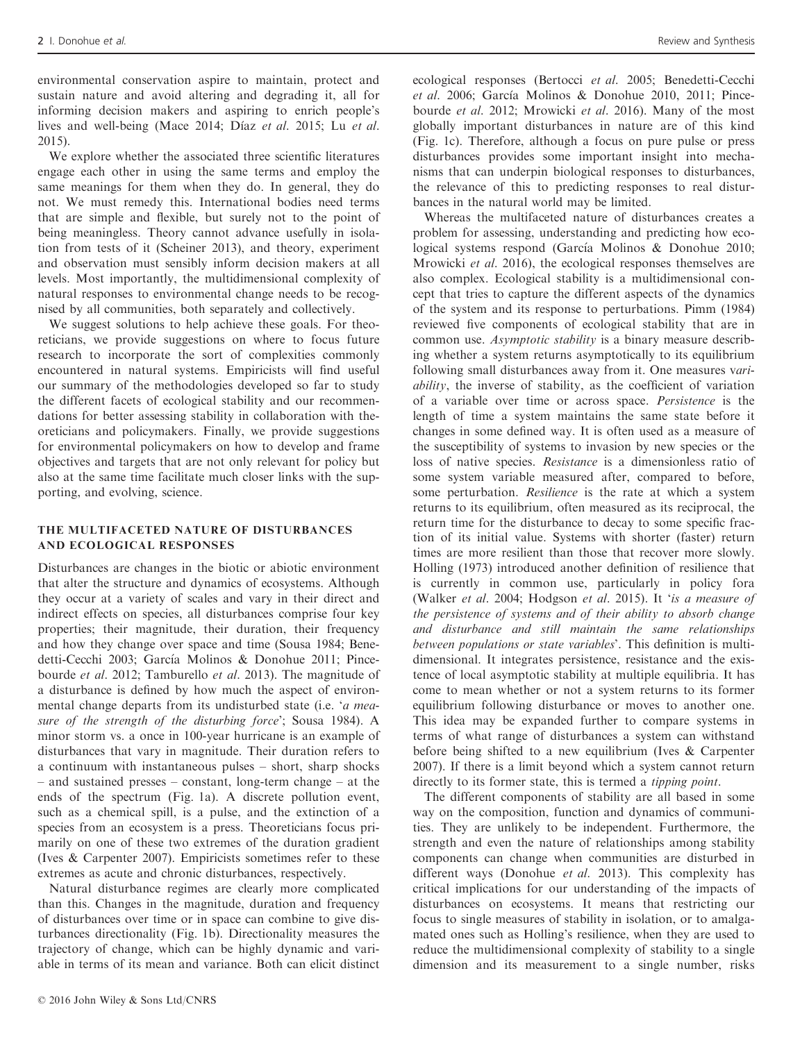environmental conservation aspire to maintain, protect and sustain nature and avoid altering and degrading it, all for informing decision makers and aspiring to enrich people's lives and well-being (Mace 2014; Díaz et al. 2015; Lu et al. 2015).

We explore whether the associated three scientific literatures engage each other in using the same terms and employ the same meanings for them when they do. In general, they do not. We must remedy this. International bodies need terms that are simple and flexible, but surely not to the point of being meaningless. Theory cannot advance usefully in isolation from tests of it (Scheiner 2013), and theory, experiment and observation must sensibly inform decision makers at all levels. Most importantly, the multidimensional complexity of natural responses to environmental change needs to be recognised by all communities, both separately and collectively.

We suggest solutions to help achieve these goals. For theoreticians, we provide suggestions on where to focus future research to incorporate the sort of complexities commonly encountered in natural systems. Empiricists will find useful our summary of the methodologies developed so far to study the different facets of ecological stability and our recommendations for better assessing stability in collaboration with theoreticians and policymakers. Finally, we provide suggestions for environmental policymakers on how to develop and frame objectives and targets that are not only relevant for policy but also at the same time facilitate much closer links with the supporting, and evolving, science.

## THE MULTIFACETED NATURE OF DISTURBANCES AND ECOLOGICAL RESPONSES

Disturbances are changes in the biotic or abiotic environment that alter the structure and dynamics of ecosystems. Although they occur at a variety of scales and vary in their direct and indirect effects on species, all disturbances comprise four key properties; their magnitude, their duration, their frequency and how they change over space and time (Sousa 1984; Benedetti-Cecchi 2003; García Molinos & Donohue 2011; Pincebourde et al. 2012; Tamburello et al. 2013). The magnitude of a disturbance is defined by how much the aspect of environmental change departs from its undisturbed state (i.e. 'a measure of the strength of the disturbing force'; Sousa 1984). A minor storm vs. a once in 100-year hurricane is an example of disturbances that vary in magnitude. Their duration refers to a continuum with instantaneous pulses – short, sharp shocks – and sustained presses – constant, long-term change – at the ends of the spectrum (Fig. 1a). A discrete pollution event, such as a chemical spill, is a pulse, and the extinction of a species from an ecosystem is a press. Theoreticians focus primarily on one of these two extremes of the duration gradient (Ives & Carpenter 2007). Empiricists sometimes refer to these extremes as acute and chronic disturbances, respectively.

Natural disturbance regimes are clearly more complicated than this. Changes in the magnitude, duration and frequency of disturbances over time or in space can combine to give disturbances directionality (Fig. 1b). Directionality measures the trajectory of change, which can be highly dynamic and variable in terms of its mean and variance. Both can elicit distinct

ecological responses (Bertocci et al. 2005; Benedetti-Cecchi et al. 2006; García Molinos & Donohue 2010, 2011; Pincebourde et al. 2012; Mrowicki et al. 2016). Many of the most globally important disturbances in nature are of this kind (Fig. 1c). Therefore, although a focus on pure pulse or press disturbances provides some important insight into mechanisms that can underpin biological responses to disturbances, the relevance of this to predicting responses to real disturbances in the natural world may be limited.

Whereas the multifaceted nature of disturbances creates a problem for assessing, understanding and predicting how ecological systems respond (García Molinos & Donohue 2010; Mrowicki *et al.* 2016), the ecological responses themselves are also complex. Ecological stability is a multidimensional concept that tries to capture the different aspects of the dynamics of the system and its response to perturbations. Pimm (1984) reviewed five components of ecological stability that are in common use. Asymptotic stability is a binary measure describing whether a system returns asymptotically to its equilibrium following small disturbances away from it. One measures variability, the inverse of stability, as the coefficient of variation of a variable over time or across space. Persistence is the length of time a system maintains the same state before it changes in some defined way. It is often used as a measure of the susceptibility of systems to invasion by new species or the loss of native species. Resistance is a dimensionless ratio of some system variable measured after, compared to before, some perturbation. Resilience is the rate at which a system returns to its equilibrium, often measured as its reciprocal, the return time for the disturbance to decay to some specific fraction of its initial value. Systems with shorter (faster) return times are more resilient than those that recover more slowly. Holling (1973) introduced another definition of resilience that is currently in common use, particularly in policy fora (Walker et al. 2004; Hodgson et al. 2015). It 'is a measure of the persistence of systems and of their ability to absorb change and disturbance and still maintain the same relationships between populations or state variables'. This definition is multidimensional. It integrates persistence, resistance and the existence of local asymptotic stability at multiple equilibria. It has come to mean whether or not a system returns to its former equilibrium following disturbance or moves to another one. This idea may be expanded further to compare systems in terms of what range of disturbances a system can withstand before being shifted to a new equilibrium (Ives & Carpenter 2007). If there is a limit beyond which a system cannot return directly to its former state, this is termed a tipping point.

The different components of stability are all based in some way on the composition, function and dynamics of communities. They are unlikely to be independent. Furthermore, the strength and even the nature of relationships among stability components can change when communities are disturbed in different ways (Donohue et al. 2013). This complexity has critical implications for our understanding of the impacts of disturbances on ecosystems. It means that restricting our focus to single measures of stability in isolation, or to amalgamated ones such as Holling's resilience, when they are used to reduce the multidimensional complexity of stability to a single dimension and its measurement to a single number, risks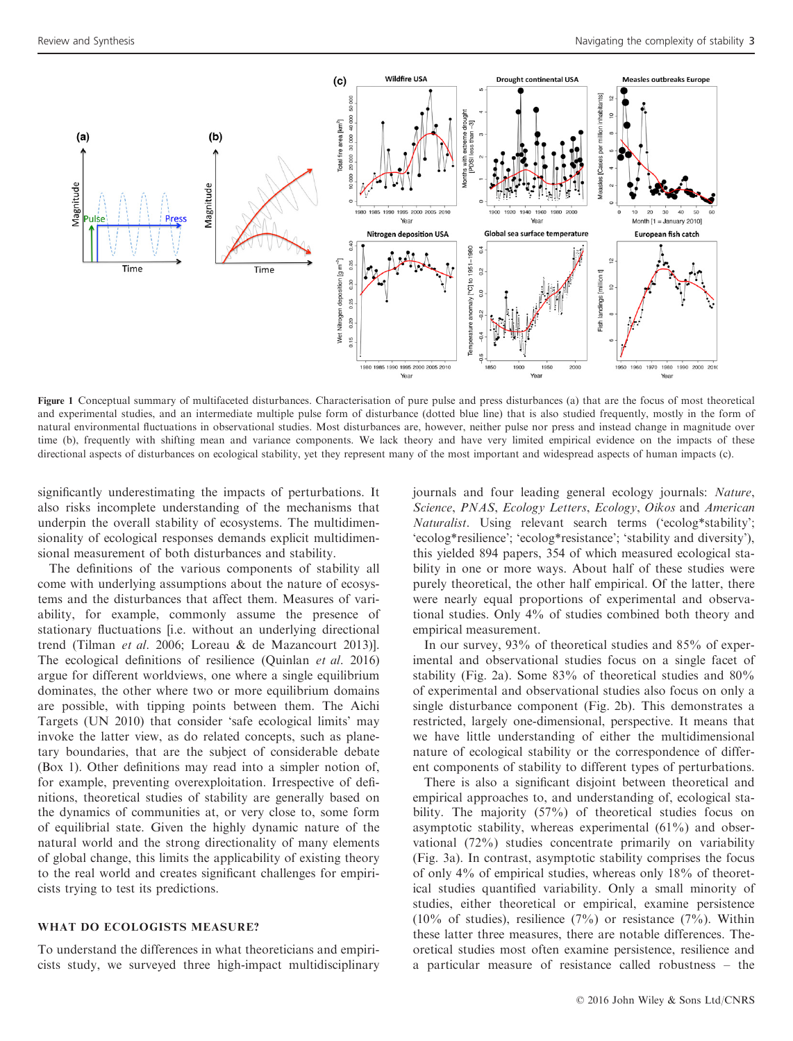

Figure 1 Conceptual summary of multifaceted disturbances. Characterisation of pure pulse and press disturbances (a) that are the focus of most theoretical and experimental studies, and an intermediate multiple pulse form of disturbance (dotted blue line) that is also studied frequently, mostly in the form of natural environmental fluctuations in observational studies. Most disturbances are, however, neither pulse nor press and instead change in magnitude over time (b), frequently with shifting mean and variance components. We lack theory and have very limited empirical evidence on the impacts of these directional aspects of disturbances on ecological stability, yet they represent many of the most important and widespread aspects of human impacts (c).

significantly underestimating the impacts of perturbations. It also risks incomplete understanding of the mechanisms that underpin the overall stability of ecosystems. The multidimensionality of ecological responses demands explicit multidimensional measurement of both disturbances and stability.

The definitions of the various components of stability all come with underlying assumptions about the nature of ecosystems and the disturbances that affect them. Measures of variability, for example, commonly assume the presence of stationary fluctuations [i.e. without an underlying directional trend (Tilman et al. 2006; Loreau & de Mazancourt 2013)]. The ecological definitions of resilience (Quinlan et al. 2016) argue for different worldviews, one where a single equilibrium dominates, the other where two or more equilibrium domains are possible, with tipping points between them. The Aichi Targets (UN 2010) that consider 'safe ecological limits' may invoke the latter view, as do related concepts, such as planetary boundaries, that are the subject of considerable debate (Box 1). Other definitions may read into a simpler notion of, for example, preventing overexploitation. Irrespective of definitions, theoretical studies of stability are generally based on the dynamics of communities at, or very close to, some form of equilibrial state. Given the highly dynamic nature of the natural world and the strong directionality of many elements of global change, this limits the applicability of existing theory to the real world and creates significant challenges for empiricists trying to test its predictions.

# WHAT DO ECOLOGISTS MEASURE?

To understand the differences in what theoreticians and empiricists study, we surveyed three high-impact multidisciplinary journals and four leading general ecology journals: Nature, Science, PNAS, Ecology Letters, Ecology, Oikos and American Naturalist. Using relevant search terms ('ecolog\*stability'; 'ecolog\*resilience'; 'ecolog\*resistance'; 'stability and diversity'), this yielded 894 papers, 354 of which measured ecological stability in one or more ways. About half of these studies were purely theoretical, the other half empirical. Of the latter, there were nearly equal proportions of experimental and observational studies. Only 4% of studies combined both theory and empirical measurement.

In our survey, 93% of theoretical studies and 85% of experimental and observational studies focus on a single facet of stability (Fig. 2a). Some 83% of theoretical studies and 80% of experimental and observational studies also focus on only a single disturbance component (Fig. 2b). This demonstrates a restricted, largely one-dimensional, perspective. It means that we have little understanding of either the multidimensional nature of ecological stability or the correspondence of different components of stability to different types of perturbations.

There is also a significant disjoint between theoretical and empirical approaches to, and understanding of, ecological stability. The majority (57%) of theoretical studies focus on asymptotic stability, whereas experimental (61%) and observational (72%) studies concentrate primarily on variability (Fig. 3a). In contrast, asymptotic stability comprises the focus of only 4% of empirical studies, whereas only 18% of theoretical studies quantified variability. Only a small minority of studies, either theoretical or empirical, examine persistence  $(10\% \text{ of studies})$ , resilience  $(7\%)$  or resistance  $(7\%)$ . Within these latter three measures, there are notable differences. Theoretical studies most often examine persistence, resilience and a particular measure of resistance called robustness – the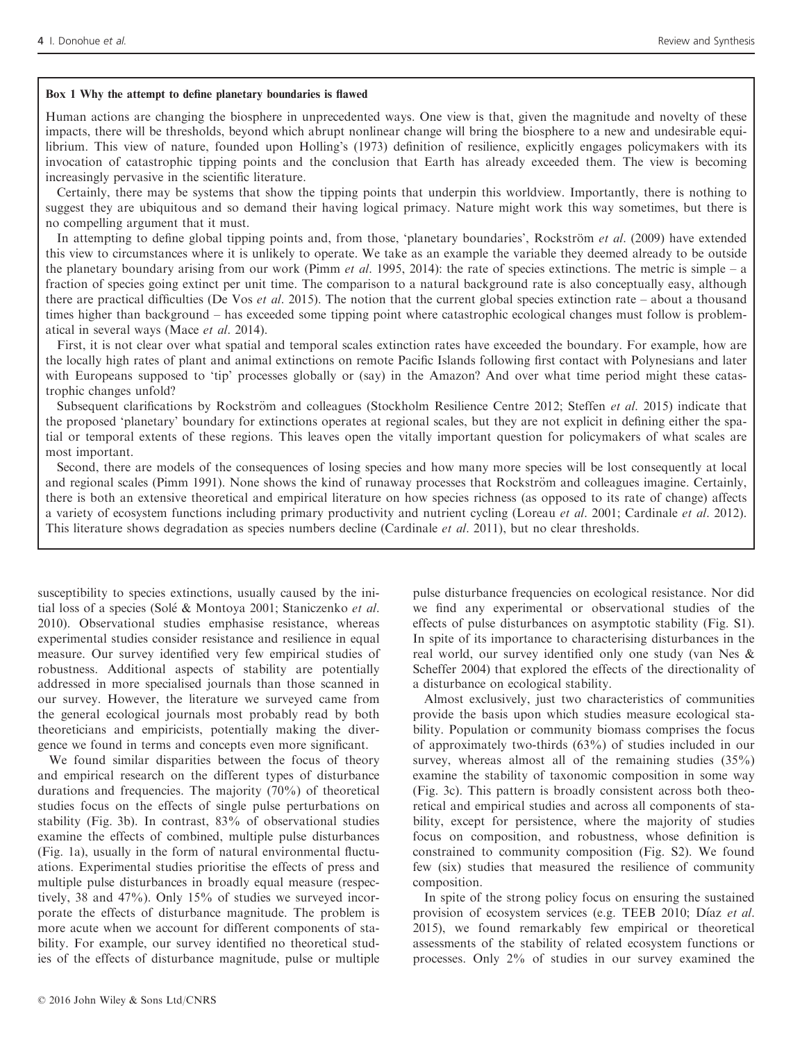#### Box 1 Why the attempt to define planetary boundaries is flawed

Human actions are changing the biosphere in unprecedented ways. One view is that, given the magnitude and novelty of these impacts, there will be thresholds, beyond which abrupt nonlinear change will bring the biosphere to a new and undesirable equilibrium. This view of nature, founded upon Holling's (1973) definition of resilience, explicitly engages policymakers with its invocation of catastrophic tipping points and the conclusion that Earth has already exceeded them. The view is becoming increasingly pervasive in the scientific literature.

Certainly, there may be systems that show the tipping points that underpin this worldview. Importantly, there is nothing to suggest they are ubiquitous and so demand their having logical primacy. Nature might work this way sometimes, but there is no compelling argument that it must.

In attempting to define global tipping points and, from those, 'planetary boundaries', Rockström et al. (2009) have extended this view to circumstances where it is unlikely to operate. We take as an example the variable they deemed already to be outside the planetary boundary arising from our work (Pimm *et al.* 1995, 2014): the rate of species extinctions. The metric is simple – a fraction of species going extinct per unit time. The comparison to a natural background rate is also conceptually easy, although there are practical difficulties (De Vos et al. 2015). The notion that the current global species extinction rate – about a thousand times higher than background – has exceeded some tipping point where catastrophic ecological changes must follow is problematical in several ways (Mace et al. 2014).

First, it is not clear over what spatial and temporal scales extinction rates have exceeded the boundary. For example, how are the locally high rates of plant and animal extinctions on remote Pacific Islands following first contact with Polynesians and later with Europeans supposed to 'tip' processes globally or (say) in the Amazon? And over what time period might these catastrophic changes unfold?

Subsequent clarifications by Rockström and colleagues (Stockholm Resilience Centre 2012; Steffen et al. 2015) indicate that the proposed 'planetary' boundary for extinctions operates at regional scales, but they are not explicit in defining either the spatial or temporal extents of these regions. This leaves open the vitally important question for policymakers of what scales are most important.

Second, there are models of the consequences of losing species and how many more species will be lost consequently at local and regional scales (Pimm 1991). None shows the kind of runaway processes that Rockström and colleagues imagine. Certainly, there is both an extensive theoretical and empirical literature on how species richness (as opposed to its rate of change) affects a variety of ecosystem functions including primary productivity and nutrient cycling (Loreau et al. 2001; Cardinale et al. 2012). This literature shows degradation as species numbers decline (Cardinale *et al.* 2011), but no clear thresholds.

susceptibility to species extinctions, usually caused by the initial loss of a species (Solé & Montoya 2001; Staniczenko et al. 2010). Observational studies emphasise resistance, whereas experimental studies consider resistance and resilience in equal measure. Our survey identified very few empirical studies of robustness. Additional aspects of stability are potentially addressed in more specialised journals than those scanned in our survey. However, the literature we surveyed came from the general ecological journals most probably read by both theoreticians and empiricists, potentially making the divergence we found in terms and concepts even more significant.

We found similar disparities between the focus of theory and empirical research on the different types of disturbance durations and frequencies. The majority (70%) of theoretical studies focus on the effects of single pulse perturbations on stability (Fig. 3b). In contrast, 83% of observational studies examine the effects of combined, multiple pulse disturbances (Fig. 1a), usually in the form of natural environmental fluctuations. Experimental studies prioritise the effects of press and multiple pulse disturbances in broadly equal measure (respectively, 38 and 47%). Only 15% of studies we surveyed incorporate the effects of disturbance magnitude. The problem is more acute when we account for different components of stability. For example, our survey identified no theoretical studies of the effects of disturbance magnitude, pulse or multiple

pulse disturbance frequencies on ecological resistance. Nor did we find any experimental or observational studies of the effects of pulse disturbances on asymptotic stability (Fig. S1). In spite of its importance to characterising disturbances in the real world, our survey identified only one study (van Nes & Scheffer 2004) that explored the effects of the directionality of a disturbance on ecological stability.

Almost exclusively, just two characteristics of communities provide the basis upon which studies measure ecological stability. Population or community biomass comprises the focus of approximately two-thirds (63%) of studies included in our survey, whereas almost all of the remaining studies (35%) examine the stability of taxonomic composition in some way (Fig. 3c). This pattern is broadly consistent across both theoretical and empirical studies and across all components of stability, except for persistence, where the majority of studies focus on composition, and robustness, whose definition is constrained to community composition (Fig. S2). We found few (six) studies that measured the resilience of community composition.

In spite of the strong policy focus on ensuring the sustained provision of ecosystem services (e.g. TEEB 2010; Díaz et al. 2015), we found remarkably few empirical or theoretical assessments of the stability of related ecosystem functions or processes. Only 2% of studies in our survey examined the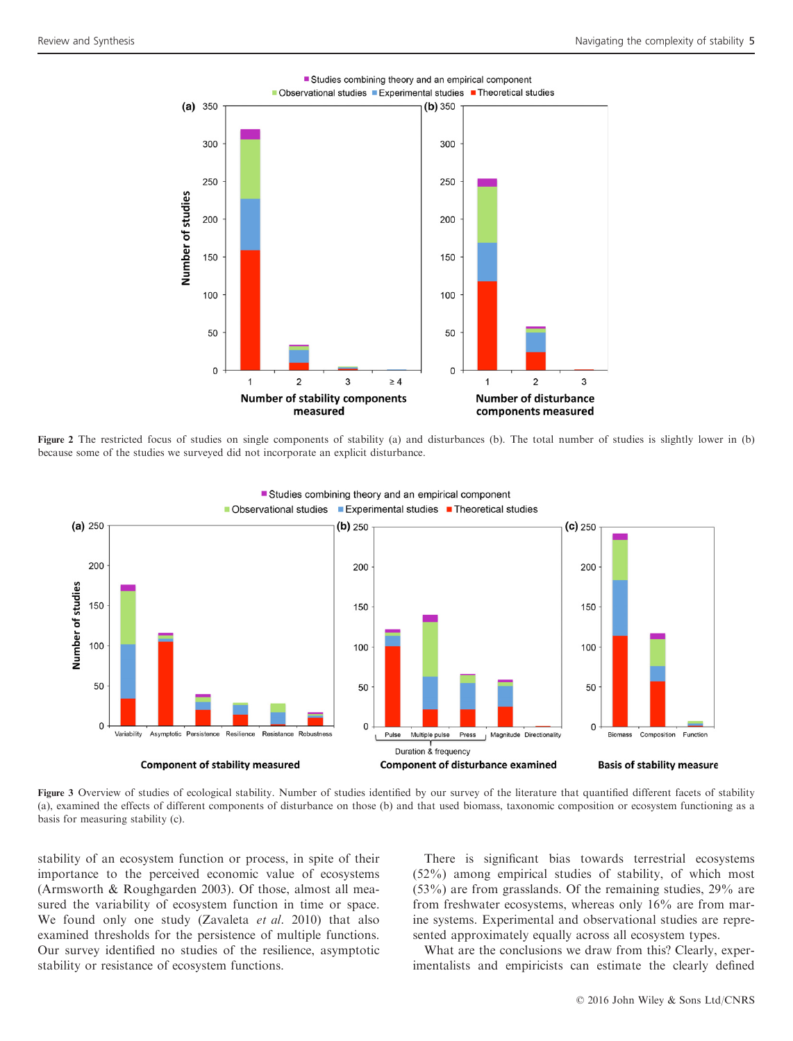

Figure 2 The restricted focus of studies on single components of stability (a) and disturbances (b). The total number of studies is slightly lower in (b) because some of the studies we surveyed did not incorporate an explicit disturbance.



Studies combining theory and an empirical component

Figure 3 Overview of studies of ecological stability. Number of studies identified by our survey of the literature that quantified different facets of stability (a), examined the effects of different components of disturbance on those (b) and that used biomass, taxonomic composition or ecosystem functioning as a basis for measuring stability (c).

stability of an ecosystem function or process, in spite of their importance to the perceived economic value of ecosystems (Armsworth & Roughgarden 2003). Of those, almost all measured the variability of ecosystem function in time or space. We found only one study (Zavaleta et al. 2010) that also examined thresholds for the persistence of multiple functions. Our survey identified no studies of the resilience, asymptotic stability or resistance of ecosystem functions.

There is significant bias towards terrestrial ecosystems (52%) among empirical studies of stability, of which most (53%) are from grasslands. Of the remaining studies, 29% are from freshwater ecosystems, whereas only 16% are from marine systems. Experimental and observational studies are represented approximately equally across all ecosystem types.

What are the conclusions we draw from this? Clearly, experimentalists and empiricists can estimate the clearly defined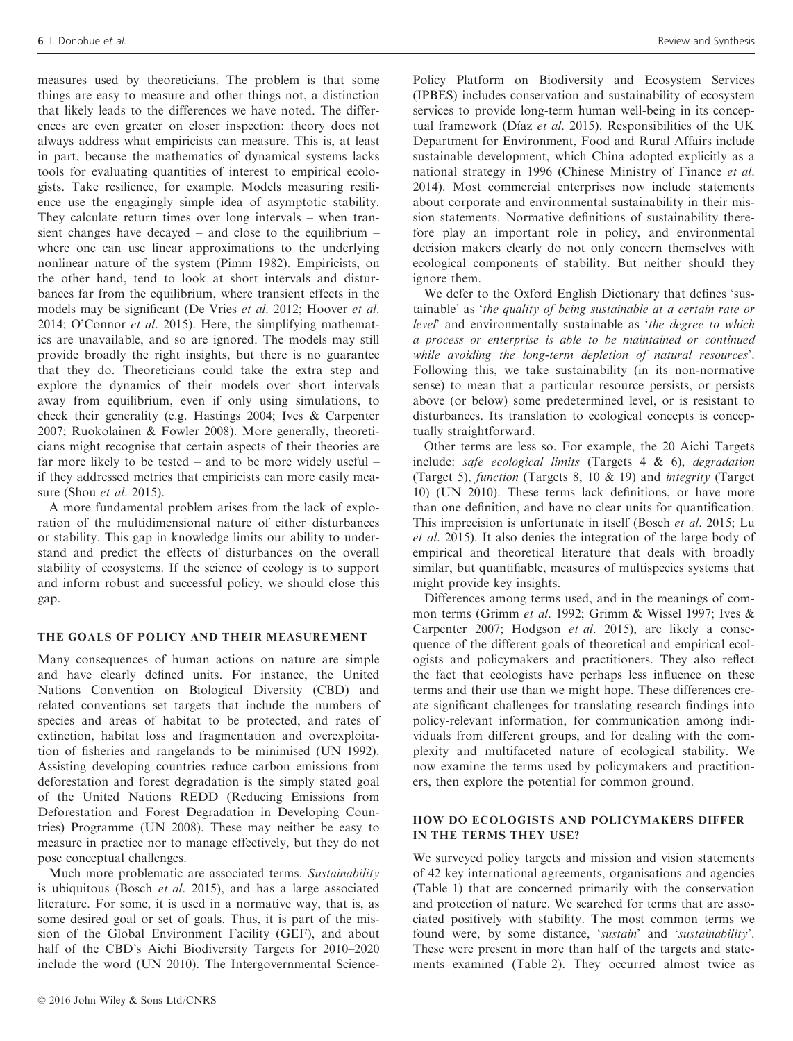measures used by theoreticians. The problem is that some things are easy to measure and other things not, a distinction that likely leads to the differences we have noted. The differences are even greater on closer inspection: theory does not always address what empiricists can measure. This is, at least in part, because the mathematics of dynamical systems lacks tools for evaluating quantities of interest to empirical ecologists. Take resilience, for example. Models measuring resilience use the engagingly simple idea of asymptotic stability. They calculate return times over long intervals – when transient changes have decayed – and close to the equilibrium – where one can use linear approximations to the underlying nonlinear nature of the system (Pimm 1982). Empiricists, on the other hand, tend to look at short intervals and disturbances far from the equilibrium, where transient effects in the models may be significant (De Vries et al. 2012; Hoover et al. 2014; O'Connor et al. 2015). Here, the simplifying mathematics are unavailable, and so are ignored. The models may still provide broadly the right insights, but there is no guarantee that they do. Theoreticians could take the extra step and explore the dynamics of their models over short intervals away from equilibrium, even if only using simulations, to check their generality (e.g. Hastings 2004; Ives & Carpenter 2007; Ruokolainen & Fowler 2008). More generally, theoreticians might recognise that certain aspects of their theories are far more likely to be tested – and to be more widely useful – if they addressed metrics that empiricists can more easily measure (Shou et al. 2015).

A more fundamental problem arises from the lack of exploration of the multidimensional nature of either disturbances or stability. This gap in knowledge limits our ability to understand and predict the effects of disturbances on the overall stability of ecosystems. If the science of ecology is to support and inform robust and successful policy, we should close this gap.

#### THE GOALS OF POLICY AND THEIR MEASUREMENT

Many consequences of human actions on nature are simple and have clearly defined units. For instance, the United Nations Convention on Biological Diversity (CBD) and related conventions set targets that include the numbers of species and areas of habitat to be protected, and rates of extinction, habitat loss and fragmentation and overexploitation of fisheries and rangelands to be minimised (UN 1992). Assisting developing countries reduce carbon emissions from deforestation and forest degradation is the simply stated goal of the United Nations REDD (Reducing Emissions from Deforestation and Forest Degradation in Developing Countries) Programme (UN 2008). These may neither be easy to measure in practice nor to manage effectively, but they do not pose conceptual challenges.

Much more problematic are associated terms. Sustainability is ubiquitous (Bosch et al. 2015), and has a large associated literature. For some, it is used in a normative way, that is, as some desired goal or set of goals. Thus, it is part of the mission of the Global Environment Facility (GEF), and about half of the CBD's Aichi Biodiversity Targets for 2010–2020 include the word (UN 2010). The Intergovernmental SciencePolicy Platform on Biodiversity and Ecosystem Services (IPBES) includes conservation and sustainability of ecosystem services to provide long-term human well-being in its conceptual framework (Díaz et al. 2015). Responsibilities of the UK Department for Environment, Food and Rural Affairs include sustainable development, which China adopted explicitly as a national strategy in 1996 (Chinese Ministry of Finance et al. 2014). Most commercial enterprises now include statements about corporate and environmental sustainability in their mission statements. Normative definitions of sustainability therefore play an important role in policy, and environmental decision makers clearly do not only concern themselves with ecological components of stability. But neither should they ignore them.

We defer to the Oxford English Dictionary that defines 'sustainable' as 'the quality of being sustainable at a certain rate or level' and environmentally sustainable as 'the degree to which a process or enterprise is able to be maintained or continued while avoiding the long-term depletion of natural resources'. Following this, we take sustainability (in its non-normative sense) to mean that a particular resource persists, or persists above (or below) some predetermined level, or is resistant to disturbances. Its translation to ecological concepts is conceptually straightforward.

Other terms are less so. For example, the 20 Aichi Targets include: safe ecological limits (Targets 4 & 6), degradation (Target 5), function (Targets 8, 10 & 19) and integrity (Target 10) (UN 2010). These terms lack definitions, or have more than one definition, and have no clear units for quantification. This imprecision is unfortunate in itself (Bosch et al. 2015; Lu et al. 2015). It also denies the integration of the large body of empirical and theoretical literature that deals with broadly similar, but quantifiable, measures of multispecies systems that might provide key insights.

Differences among terms used, and in the meanings of common terms (Grimm et al. 1992; Grimm & Wissel 1997; Ives & Carpenter 2007; Hodgson et al. 2015), are likely a consequence of the different goals of theoretical and empirical ecologists and policymakers and practitioners. They also reflect the fact that ecologists have perhaps less influence on these terms and their use than we might hope. These differences create significant challenges for translating research findings into policy-relevant information, for communication among individuals from different groups, and for dealing with the complexity and multifaceted nature of ecological stability. We now examine the terms used by policymakers and practitioners, then explore the potential for common ground.

# HOW DO ECOLOGISTS AND POLICYMAKERS DIFFER IN THE TERMS THEY USE?

We surveyed policy targets and mission and vision statements of 42 key international agreements, organisations and agencies (Table 1) that are concerned primarily with the conservation and protection of nature. We searched for terms that are associated positively with stability. The most common terms we found were, by some distance, 'sustain' and 'sustainability'. These were present in more than half of the targets and statements examined (Table 2). They occurred almost twice as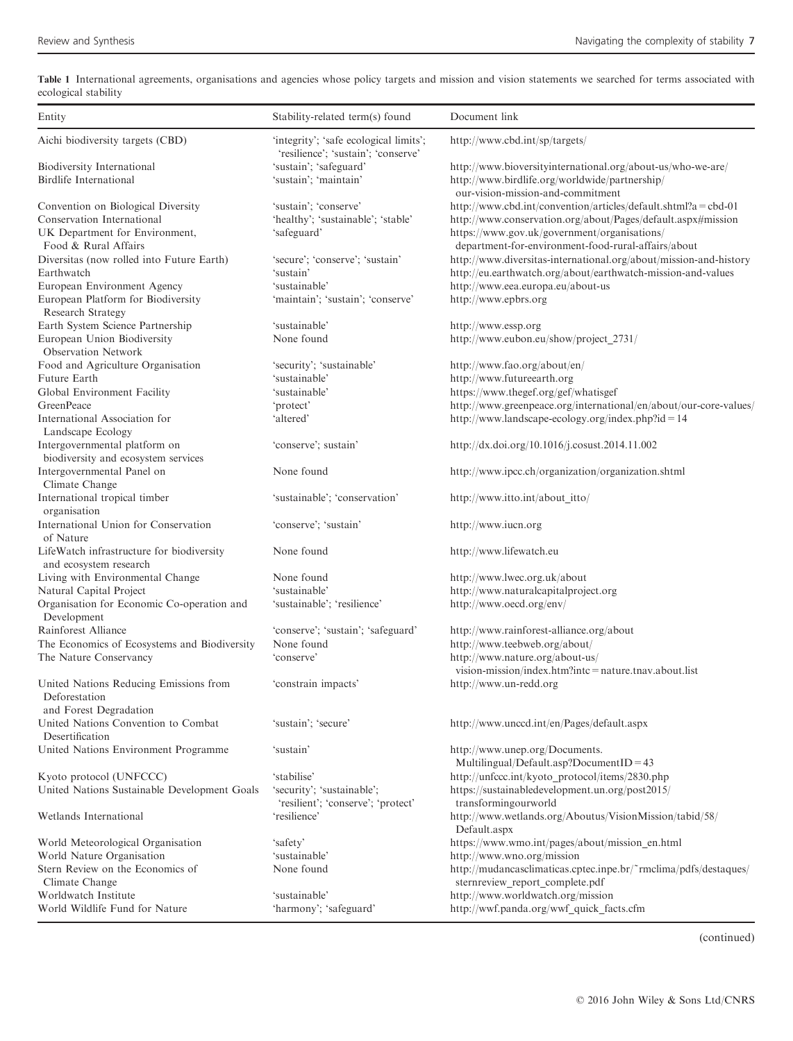| Entity                                       | Stability-related term(s) found                                               | Document link                                                     |  |
|----------------------------------------------|-------------------------------------------------------------------------------|-------------------------------------------------------------------|--|
| Aichi biodiversity targets (CBD)             | 'integrity'; 'safe ecological limits';<br>'resilience'; 'sustain'; 'conserve' | http://www.cbd.int/sp/targets/                                    |  |
| Biodiversity International                   | 'sustain'; 'safeguard'                                                        | http://www.bioversityinternational.org/about-us/who-we-are/       |  |
| Birdlife International                       | 'sustain'; 'maintain'                                                         | http://www.birdlife.org/worldwide/partnership/                    |  |
|                                              |                                                                               | our-vision-mission-and-commitment                                 |  |
| Convention on Biological Diversity           | 'sustain'; 'conserve'                                                         | http://www.cbd.int/convention/articles/default.shtml?a=cbd-01     |  |
| Conservation International                   | 'healthy'; 'sustainable'; 'stable'                                            | http://www.conservation.org/about/Pages/default.aspx#mission      |  |
| UK Department for Environment,               | 'safeguard'                                                                   | https://www.gov.uk/government/organisations/                      |  |
| Food & Rural Affairs                         |                                                                               | department-for-environment-food-rural-affairs/about               |  |
| Diversitas (now rolled into Future Earth)    |                                                                               |                                                                   |  |
|                                              | 'secure'; 'conserve'; 'sustain'                                               | http://www.diversitas-international.org/about/mission-and-history |  |
| Earthwatch                                   | 'sustain'                                                                     | http://eu.earthwatch.org/about/earthwatch-mission-and-values      |  |
| European Environment Agency                  | 'sustainable'                                                                 | http://www.eea.europa.eu/about-us                                 |  |
| European Platform for Biodiversity           | 'maintain'; 'sustain'; 'conserve'                                             | http://www.epbrs.org                                              |  |
| Research Strategy                            |                                                                               |                                                                   |  |
| Earth System Science Partnership             | 'sustainable'                                                                 | http://www.essp.org                                               |  |
| European Union Biodiversity                  | None found                                                                    | http://www.eubon.eu/show/project_2731/                            |  |
| <b>Observation Network</b>                   |                                                                               |                                                                   |  |
| Food and Agriculture Organisation            | 'security'; 'sustainable'                                                     | http://www.fao.org/about/en/                                      |  |
| Future Earth                                 | 'sustainable'                                                                 | http://www.futureearth.org                                        |  |
| Global Environment Facility                  | 'sustainable'                                                                 | https://www.thegef.org/gef/whatisgef                              |  |
| GreenPeace                                   | 'protect'                                                                     | http://www.greenpeace.org/international/en/about/our-core-values/ |  |
| International Association for                | 'altered'                                                                     | http://www.landscape-ecology.org/index.php?id=14                  |  |
| Landscape Ecology                            |                                                                               |                                                                   |  |
| Intergovernmental platform on                | 'conserve'; sustain'                                                          | http://dx.doi.org/10.1016/j.cosust.2014.11.002                    |  |
| biodiversity and ecosystem services          |                                                                               |                                                                   |  |
| Intergovernmental Panel on                   | None found                                                                    | http://www.ipcc.ch/organization/organization.shtml                |  |
| Climate Change                               |                                                                               |                                                                   |  |
| International tropical timber                | 'sustainable'; 'conservation'                                                 | http://www.itto.int/about_itto/                                   |  |
| organisation                                 |                                                                               |                                                                   |  |
| International Union for Conservation         |                                                                               |                                                                   |  |
|                                              | 'conserve'; 'sustain'                                                         | http://www.iucn.org                                               |  |
| of Nature                                    |                                                                               |                                                                   |  |
| LifeWatch infrastructure for biodiversity    | None found                                                                    | http://www.lifewatch.eu                                           |  |
| and ecosystem research                       |                                                                               |                                                                   |  |
| Living with Environmental Change             | None found                                                                    | http://www.lwec.org.uk/about                                      |  |
| Natural Capital Project                      | 'sustainable'                                                                 | http://www.naturalcapitalproject.org                              |  |
| Organisation for Economic Co-operation and   | 'sustainable'; 'resilience'                                                   | http://www.oecd.org/env/                                          |  |
| Development                                  |                                                                               |                                                                   |  |
| Rainforest Alliance                          | 'conserve'; 'sustain'; 'safeguard'                                            | http://www.rainforest-alliance.org/about                          |  |
| The Economics of Ecosystems and Biodiversity | None found                                                                    | http://www.teebweb.org/about/                                     |  |
| The Nature Conservancy                       | 'conserve'                                                                    | http://www.nature.org/about-us/                                   |  |
|                                              |                                                                               | vision-mission/index.htm?intc=nature.tnav.about.list              |  |
| United Nations Reducing Emissions from       | 'constrain impacts'                                                           | http://www.un-redd.org                                            |  |
| Deforestation                                |                                                                               |                                                                   |  |
| and Forest Degradation                       |                                                                               |                                                                   |  |
| United Nations Convention to Combat          | 'sustain'; 'secure'                                                           | http://www.unccd.int/en/Pages/default.aspx                        |  |
| Desertification                              |                                                                               |                                                                   |  |
| United Nations Environment Programme         | 'sustain'                                                                     | http://www.unep.org/Documents.                                    |  |
|                                              |                                                                               | Multilingual/Default.asp?DocumentID=43                            |  |
| Kyoto protocol (UNFCCC)                      | 'stabilise'                                                                   | http://unfccc.int/kyoto_protocol/items/2830.php                   |  |
| United Nations Sustainable Development Goals | 'security'; 'sustainable';                                                    | https://sustainabledevelopment.un.org/post2015/                   |  |
|                                              | 'resilient'; 'conserve'; 'protect'                                            | transformingourworld                                              |  |
| Wetlands International                       | 'resilience'                                                                  | http://www.wetlands.org/Aboutus/VisionMission/tabid/58/           |  |
|                                              |                                                                               |                                                                   |  |
|                                              |                                                                               | Default.aspx                                                      |  |
| World Meteorological Organisation            | 'safety'                                                                      | https://www.wmo.int/pages/about/mission en.html                   |  |
| World Nature Organisation                    | 'sustainable'                                                                 | http://www.wno.org/mission                                        |  |
| Stern Review on the Economics of             | None found                                                                    | http://mudancasclimaticas.cptec.inpe.br/~rmclima/pdfs/destaques/  |  |
| Climate Change                               |                                                                               | sternreview_report_complete.pdf                                   |  |
| Worldwatch Institute                         | 'sustainable'                                                                 | http://www.worldwatch.org/mission                                 |  |
| World Wildlife Fund for Nature               | 'harmony'; 'safeguard'                                                        | http://wwf.panda.org/wwf_quick_facts.cfm                          |  |

Table 1 International agreements, organisations and agencies whose policy targets and mission and vision statements we searched for terms associated with ecological stability

(continued)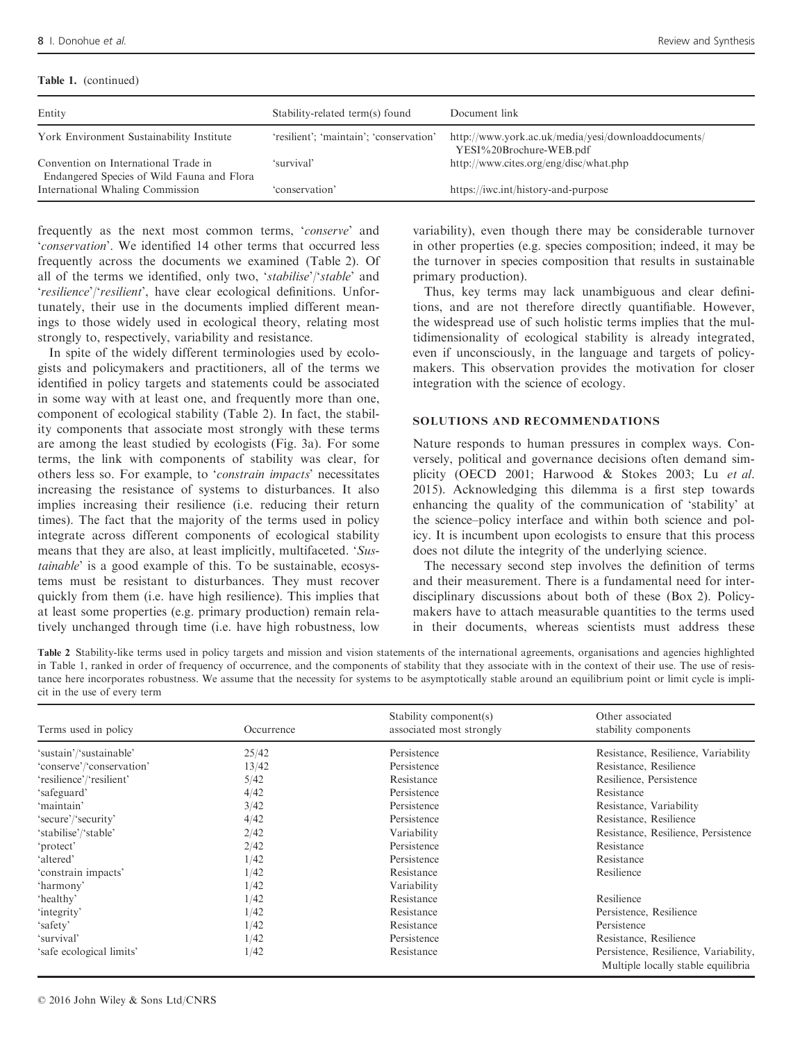| Entity                                                                             | Stability-related term(s) found         | Document link                                                                  |
|------------------------------------------------------------------------------------|-----------------------------------------|--------------------------------------------------------------------------------|
| York Environment Sustainability Institute                                          | 'resilient'; 'maintain'; 'conservation' | http://www.york.ac.uk/media/yesi/downloaddocuments/<br>YESI%20Brochure-WEB.pdf |
| Convention on International Trade in<br>Endangered Species of Wild Fauna and Flora | 'survival'                              | http://www.cites.org/eng/disc/what.php                                         |
| International Whaling Commission                                                   | 'conservation'                          | https://iwc.int/history-and-purpose                                            |

frequently as the next most common terms, 'conserve' and 'conservation'. We identified 14 other terms that occurred less frequently across the documents we examined (Table 2). Of all of the terms we identified, only two, 'stabilise'/'stable' and 'resilience'/'resilient', have clear ecological definitions. Unfortunately, their use in the documents implied different meanings to those widely used in ecological theory, relating most strongly to, respectively, variability and resistance.

In spite of the widely different terminologies used by ecologists and policymakers and practitioners, all of the terms we identified in policy targets and statements could be associated in some way with at least one, and frequently more than one, component of ecological stability (Table 2). In fact, the stability components that associate most strongly with these terms are among the least studied by ecologists (Fig. 3a). For some terms, the link with components of stability was clear, for others less so. For example, to 'constrain impacts' necessitates increasing the resistance of systems to disturbances. It also implies increasing their resilience (i.e. reducing their return times). The fact that the majority of the terms used in policy integrate across different components of ecological stability means that they are also, at least implicitly, multifaceted. 'Sustainable' is a good example of this. To be sustainable, ecosystems must be resistant to disturbances. They must recover quickly from them (i.e. have high resilience). This implies that at least some properties (e.g. primary production) remain relatively unchanged through time (i.e. have high robustness, low variability), even though there may be considerable turnover in other properties (e.g. species composition; indeed, it may be the turnover in species composition that results in sustainable primary production).

Thus, key terms may lack unambiguous and clear definitions, and are not therefore directly quantifiable. However, the widespread use of such holistic terms implies that the multidimensionality of ecological stability is already integrated, even if unconsciously, in the language and targets of policymakers. This observation provides the motivation for closer integration with the science of ecology.

#### SOLUTIONS AND RECOMMENDATIONS

Nature responds to human pressures in complex ways. Conversely, political and governance decisions often demand simplicity (OECD 2001; Harwood & Stokes 2003; Lu et al. 2015). Acknowledging this dilemma is a first step towards enhancing the quality of the communication of 'stability' at the science–policy interface and within both science and policy. It is incumbent upon ecologists to ensure that this process does not dilute the integrity of the underlying science.

The necessary second step involves the definition of terms and their measurement. There is a fundamental need for interdisciplinary discussions about both of these (Box 2). Policymakers have to attach measurable quantities to the terms used in their documents, whereas scientists must address these

Table 2 Stability-like terms used in policy targets and mission and vision statements of the international agreements, organisations and agencies highlighted in Table 1, ranked in order of frequency of occurrence, and the components of stability that they associate with in the context of their use. The use of resistance here incorporates robustness. We assume that the necessity for systems to be asymptotically stable around an equilibrium point or limit cycle is implicit in the use of every term

| Terms used in policy      | Occurrence | Stability component(s)<br>associated most strongly | Other associated<br>stability components                                    |
|---------------------------|------------|----------------------------------------------------|-----------------------------------------------------------------------------|
| 'sustain'/'sustainable'   | 25/42      | Persistence                                        | Resistance, Resilience, Variability                                         |
| 'conserve'/'conservation' | 13/42      | Persistence                                        | Resistance, Resilience                                                      |
| 'resilience'/'resilient'  | 5/42       | Resistance                                         | Resilience, Persistence                                                     |
| 'safeguard'               | 4/42       | Persistence                                        | Resistance                                                                  |
| 'maintain'                | 3/42       | Persistence                                        | Resistance, Variability                                                     |
| 'secure'/'security'       | 4/42       | Persistence                                        | Resistance, Resilience                                                      |
| 'stabilise'/'stable'      | 2/42       | Variability                                        | Resistance, Resilience, Persistence                                         |
| 'protect'                 | 2/42       | Persistence                                        | Resistance                                                                  |
| 'altered'                 | 1/42       | Persistence                                        | Resistance                                                                  |
| 'constrain impacts'       | 1/42       | Resistance                                         | Resilience                                                                  |
| 'harmony'                 | 1/42       | Variability                                        |                                                                             |
| 'healthy'                 | 1/42       | Resistance                                         | Resilience                                                                  |
| 'integrity'               | 1/42       | Resistance                                         | Persistence, Resilience                                                     |
| 'safety'                  | 1/42       | Resistance                                         | Persistence                                                                 |
| 'survival'                | 1/42       | Persistence                                        | Resistance, Resilience                                                      |
| 'safe ecological limits'  | 1/42       | Resistance                                         | Persistence, Resilience, Variability,<br>Multiple locally stable equilibria |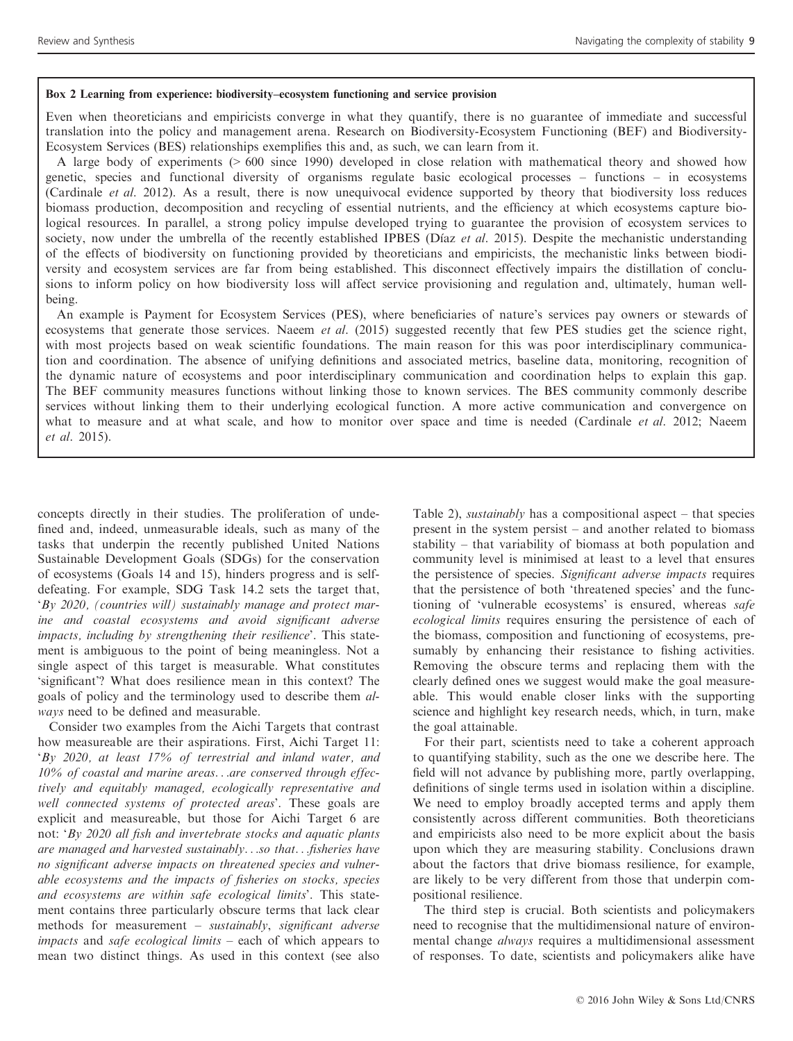#### Box 2 Learning from experience: biodiversity–ecosystem functioning and service provision

Even when theoreticians and empiricists converge in what they quantify, there is no guarantee of immediate and successful translation into the policy and management arena. Research on Biodiversity-Ecosystem Functioning (BEF) and Biodiversity-Ecosystem Services (BES) relationships exemplifies this and, as such, we can learn from it.

A large body of experiments (> 600 since 1990) developed in close relation with mathematical theory and showed how genetic, species and functional diversity of organisms regulate basic ecological processes – functions – in ecosystems (Cardinale et al. 2012). As a result, there is now unequivocal evidence supported by theory that biodiversity loss reduces biomass production, decomposition and recycling of essential nutrients, and the efficiency at which ecosystems capture biological resources. In parallel, a strong policy impulse developed trying to guarantee the provision of ecosystem services to society, now under the umbrella of the recently established IPBES (Díaz et al. 2015). Despite the mechanistic understanding of the effects of biodiversity on functioning provided by theoreticians and empiricists, the mechanistic links between biodiversity and ecosystem services are far from being established. This disconnect effectively impairs the distillation of conclusions to inform policy on how biodiversity loss will affect service provisioning and regulation and, ultimately, human wellbeing.

An example is Payment for Ecosystem Services (PES), where beneficiaries of nature's services pay owners or stewards of ecosystems that generate those services. Naeem *et al.* (2015) suggested recently that few PES studies get the science right, with most projects based on weak scientific foundations. The main reason for this was poor interdisciplinary communication and coordination. The absence of unifying definitions and associated metrics, baseline data, monitoring, recognition of the dynamic nature of ecosystems and poor interdisciplinary communication and coordination helps to explain this gap. The BEF community measures functions without linking those to known services. The BES community commonly describe services without linking them to their underlying ecological function. A more active communication and convergence on what to measure and at what scale, and how to monitor over space and time is needed (Cardinale et al. 2012; Naeem et al. 2015).

concepts directly in their studies. The proliferation of undefined and, indeed, unmeasurable ideals, such as many of the tasks that underpin the recently published United Nations Sustainable Development Goals (SDGs) for the conservation of ecosystems (Goals 14 and 15), hinders progress and is selfdefeating. For example, SDG Task 14.2 sets the target that, 'By 2020, (countries will) sustainably manage and protect marine and coastal ecosystems and avoid significant adverse impacts, including by strengthening their resilience'. This statement is ambiguous to the point of being meaningless. Not a single aspect of this target is measurable. What constitutes 'significant'? What does resilience mean in this context? The goals of policy and the terminology used to describe them always need to be defined and measurable.

Consider two examples from the Aichi Targets that contrast how measureable are their aspirations. First, Aichi Target 11: 'By 2020, at least 17% of terrestrial and inland water, and 10% of coastal and marine areas...are conserved through effectively and equitably managed, ecologically representative and well connected systems of protected areas'. These goals are explicit and measureable, but those for Aichi Target 6 are not: 'By 2020 all fish and invertebrate stocks and aquatic plants are managed and harvested sustainably...so that...fisheries have no significant adverse impacts on threatened species and vulnerable ecosystems and the impacts of fisheries on stocks, species and ecosystems are within safe ecological limits'. This statement contains three particularly obscure terms that lack clear methods for measurement – sustainably, significant adverse impacts and safe ecological limits – each of which appears to mean two distinct things. As used in this context (see also

Table 2), *sustainably* has a compositional aspect  $-$  that species present in the system persist – and another related to biomass stability – that variability of biomass at both population and community level is minimised at least to a level that ensures the persistence of species. Significant adverse impacts requires that the persistence of both 'threatened species' and the functioning of 'vulnerable ecosystems' is ensured, whereas safe ecological limits requires ensuring the persistence of each of the biomass, composition and functioning of ecosystems, presumably by enhancing their resistance to fishing activities. Removing the obscure terms and replacing them with the clearly defined ones we suggest would make the goal measureable. This would enable closer links with the supporting science and highlight key research needs, which, in turn, make the goal attainable.

For their part, scientists need to take a coherent approach to quantifying stability, such as the one we describe here. The field will not advance by publishing more, partly overlapping, definitions of single terms used in isolation within a discipline. We need to employ broadly accepted terms and apply them consistently across different communities. Both theoreticians and empiricists also need to be more explicit about the basis upon which they are measuring stability. Conclusions drawn about the factors that drive biomass resilience, for example, are likely to be very different from those that underpin compositional resilience.

The third step is crucial. Both scientists and policymakers need to recognise that the multidimensional nature of environmental change always requires a multidimensional assessment of responses. To date, scientists and policymakers alike have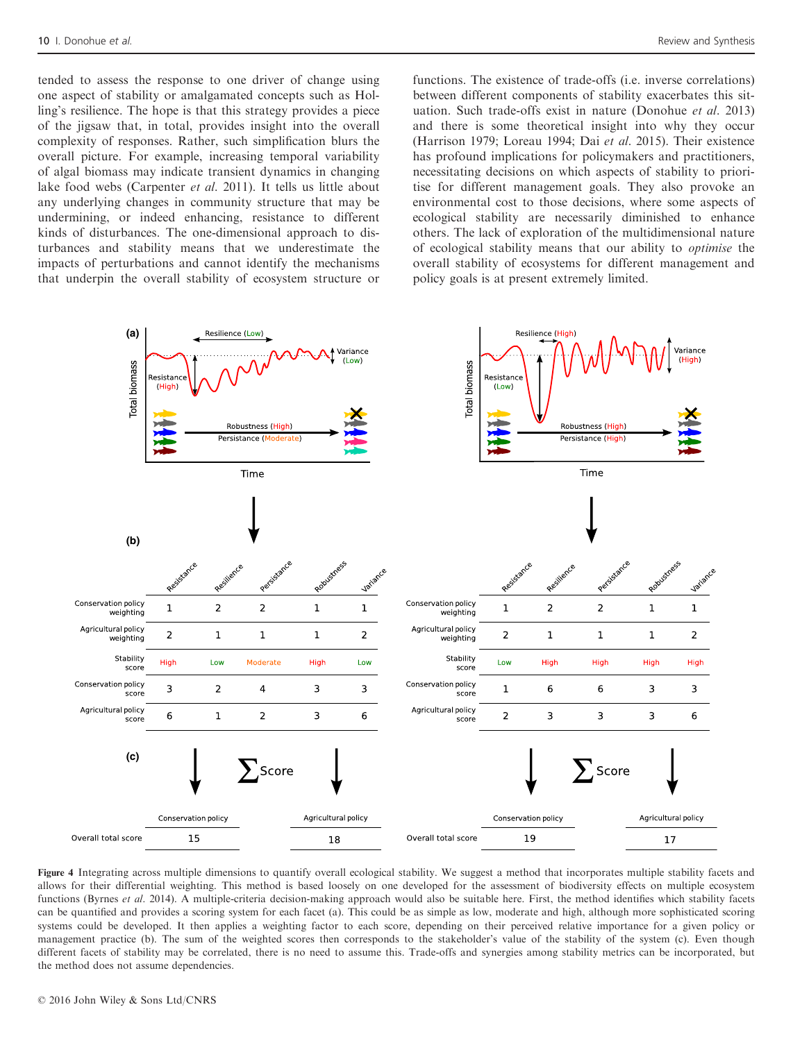tended to assess the response to one driver of change using one aspect of stability or amalgamated concepts such as Holling's resilience. The hope is that this strategy provides a piece of the jigsaw that, in total, provides insight into the overall complexity of responses. Rather, such simplification blurs the overall picture. For example, increasing temporal variability of algal biomass may indicate transient dynamics in changing lake food webs (Carpenter et al. 2011). It tells us little about any underlying changes in community structure that may be undermining, or indeed enhancing, resistance to different kinds of disturbances. The one-dimensional approach to disturbances and stability means that we underestimate the impacts of perturbations and cannot identify the mechanisms that underpin the overall stability of ecosystem structure or

functions. The existence of trade-offs (i.e. inverse correlations) between different components of stability exacerbates this situation. Such trade-offs exist in nature (Donohue et al. 2013) and there is some theoretical insight into why they occur (Harrison 1979; Loreau 1994; Dai et al. 2015). Their existence has profound implications for policymakers and practitioners, necessitating decisions on which aspects of stability to prioritise for different management goals. They also provoke an environmental cost to those decisions, where some aspects of ecological stability are necessarily diminished to enhance others. The lack of exploration of the multidimensional nature of ecological stability means that our ability to optimise the overall stability of ecosystems for different management and policy goals is at present extremely limited.



Figure 4 Integrating across multiple dimensions to quantify overall ecological stability. We suggest a method that incorporates multiple stability facets and allows for their differential weighting. This method is based loosely on one developed for the assessment of biodiversity effects on multiple ecosystem functions (Byrnes et al. 2014). A multiple-criteria decision-making approach would also be suitable here. First, the method identifies which stability facets can be quantified and provides a scoring system for each facet (a). This could be as simple as low, moderate and high, although more sophisticated scoring systems could be developed. It then applies a weighting factor to each score, depending on their perceived relative importance for a given policy or management practice (b). The sum of the weighted scores then corresponds to the stakeholder's value of the stability of the system (c). Even though different facets of stability may be correlated, there is no need to assume this. Trade-offs and synergies among stability metrics can be incorporated, but the method does not assume dependencies.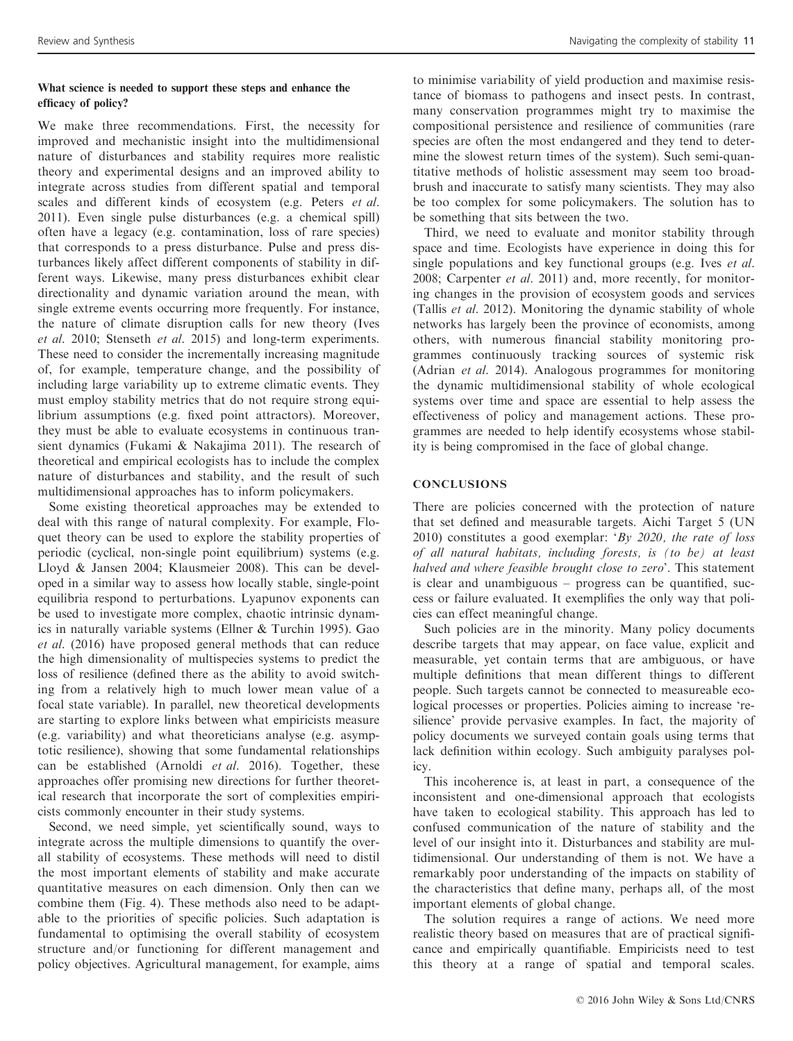# What science is needed to support these steps and enhance the efficacy of policy?

We make three recommendations. First, the necessity for improved and mechanistic insight into the multidimensional nature of disturbances and stability requires more realistic theory and experimental designs and an improved ability to integrate across studies from different spatial and temporal scales and different kinds of ecosystem (e.g. Peters et al. 2011). Even single pulse disturbances (e.g. a chemical spill) often have a legacy (e.g. contamination, loss of rare species) that corresponds to a press disturbance. Pulse and press disturbances likely affect different components of stability in different ways. Likewise, many press disturbances exhibit clear directionality and dynamic variation around the mean, with single extreme events occurring more frequently. For instance, the nature of climate disruption calls for new theory (Ives et al. 2010; Stenseth et al. 2015) and long-term experiments. These need to consider the incrementally increasing magnitude of, for example, temperature change, and the possibility of including large variability up to extreme climatic events. They must employ stability metrics that do not require strong equilibrium assumptions (e.g. fixed point attractors). Moreover, they must be able to evaluate ecosystems in continuous transient dynamics (Fukami & Nakajima 2011). The research of theoretical and empirical ecologists has to include the complex nature of disturbances and stability, and the result of such multidimensional approaches has to inform policymakers.

Some existing theoretical approaches may be extended to deal with this range of natural complexity. For example, Floquet theory can be used to explore the stability properties of periodic (cyclical, non-single point equilibrium) systems (e.g. Lloyd & Jansen 2004; Klausmeier 2008). This can be developed in a similar way to assess how locally stable, single-point equilibria respond to perturbations. Lyapunov exponents can be used to investigate more complex, chaotic intrinsic dynamics in naturally variable systems (Ellner & Turchin 1995). Gao et al. (2016) have proposed general methods that can reduce the high dimensionality of multispecies systems to predict the loss of resilience (defined there as the ability to avoid switching from a relatively high to much lower mean value of a focal state variable). In parallel, new theoretical developments are starting to explore links between what empiricists measure (e.g. variability) and what theoreticians analyse (e.g. asymptotic resilience), showing that some fundamental relationships can be established (Arnoldi et al. 2016). Together, these approaches offer promising new directions for further theoretical research that incorporate the sort of complexities empiricists commonly encounter in their study systems.

Second, we need simple, yet scientifically sound, ways to integrate across the multiple dimensions to quantify the overall stability of ecosystems. These methods will need to distil the most important elements of stability and make accurate quantitative measures on each dimension. Only then can we combine them (Fig. 4). These methods also need to be adaptable to the priorities of specific policies. Such adaptation is fundamental to optimising the overall stability of ecosystem structure and/or functioning for different management and policy objectives. Agricultural management, for example, aims

to minimise variability of yield production and maximise resistance of biomass to pathogens and insect pests. In contrast, many conservation programmes might try to maximise the compositional persistence and resilience of communities (rare species are often the most endangered and they tend to determine the slowest return times of the system). Such semi-quantitative methods of holistic assessment may seem too broadbrush and inaccurate to satisfy many scientists. They may also be too complex for some policymakers. The solution has to be something that sits between the two.

Third, we need to evaluate and monitor stability through space and time. Ecologists have experience in doing this for single populations and key functional groups (e.g. Ives *et al.*) 2008; Carpenter et al. 2011) and, more recently, for monitoring changes in the provision of ecosystem goods and services (Tallis et al. 2012). Monitoring the dynamic stability of whole networks has largely been the province of economists, among others, with numerous financial stability monitoring programmes continuously tracking sources of systemic risk (Adrian et al. 2014). Analogous programmes for monitoring the dynamic multidimensional stability of whole ecological systems over time and space are essential to help assess the effectiveness of policy and management actions. These programmes are needed to help identify ecosystems whose stability is being compromised in the face of global change.

# **CONCLUSIONS**

There are policies concerned with the protection of nature that set defined and measurable targets. Aichi Target 5 (UN 2010) constitutes a good exemplar: 'By  $2020$ , the rate of loss of all natural habitats, including forests, is (to be) at least halved and where feasible brought close to zero'. This statement is clear and unambiguous – progress can be quantified, success or failure evaluated. It exemplifies the only way that policies can effect meaningful change.

Such policies are in the minority. Many policy documents describe targets that may appear, on face value, explicit and measurable, yet contain terms that are ambiguous, or have multiple definitions that mean different things to different people. Such targets cannot be connected to measureable ecological processes or properties. Policies aiming to increase 'resilience' provide pervasive examples. In fact, the majority of policy documents we surveyed contain goals using terms that lack definition within ecology. Such ambiguity paralyses policy.

This incoherence is, at least in part, a consequence of the inconsistent and one-dimensional approach that ecologists have taken to ecological stability. This approach has led to confused communication of the nature of stability and the level of our insight into it. Disturbances and stability are multidimensional. Our understanding of them is not. We have a remarkably poor understanding of the impacts on stability of the characteristics that define many, perhaps all, of the most important elements of global change.

The solution requires a range of actions. We need more realistic theory based on measures that are of practical significance and empirically quantifiable. Empiricists need to test this theory at a range of spatial and temporal scales.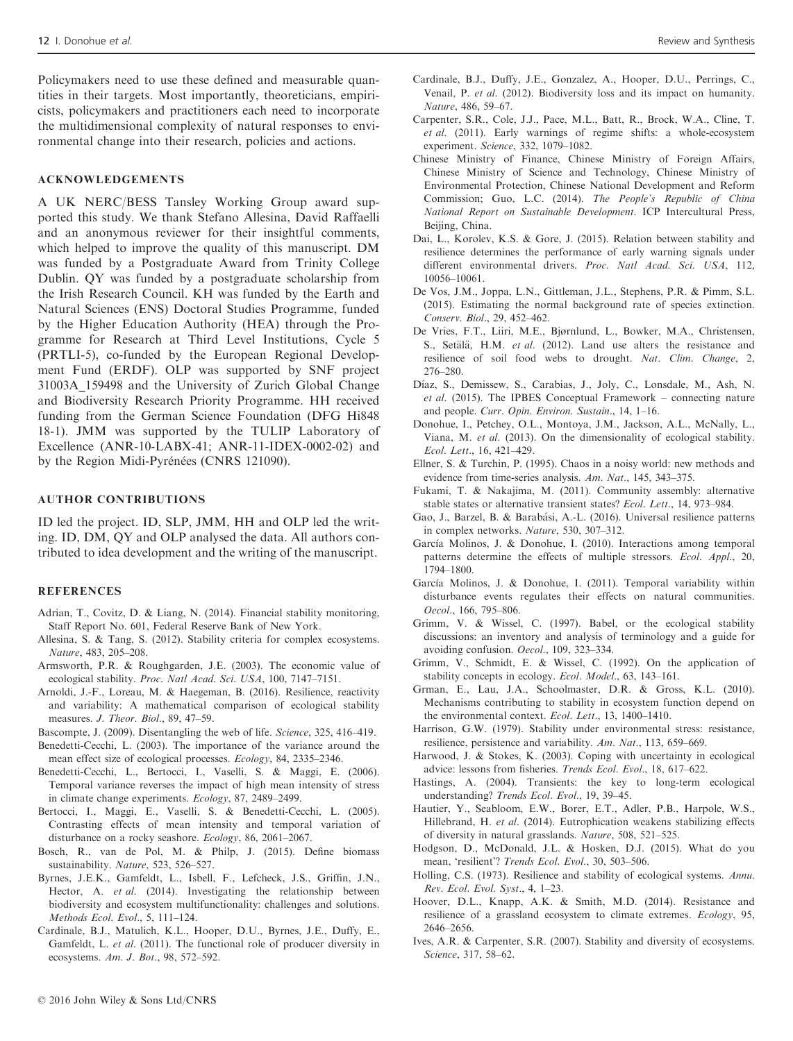Policymakers need to use these defined and measurable quantities in their targets. Most importantly, theoreticians, empiricists, policymakers and practitioners each need to incorporate the multidimensional complexity of natural responses to environmental change into their research, policies and actions.

#### ACKNOWLEDGEMENTS

A UK NERC/BESS Tansley Working Group award supported this study. We thank Stefano Allesina, David Raffaelli and an anonymous reviewer for their insightful comments, which helped to improve the quality of this manuscript. DM was funded by a Postgraduate Award from Trinity College Dublin. QY was funded by a postgraduate scholarship from the Irish Research Council. KH was funded by the Earth and Natural Sciences (ENS) Doctoral Studies Programme, funded by the Higher Education Authority (HEA) through the Programme for Research at Third Level Institutions, Cycle 5 (PRTLI-5), co-funded by the European Regional Development Fund (ERDF). OLP was supported by SNF project 31003A\_159498 and the University of Zurich Global Change and Biodiversity Research Priority Programme. HH received funding from the German Science Foundation (DFG Hi848 18-1). JMM was supported by the TULIP Laboratory of Excellence (ANR-10-LABX-41; ANR-11-IDEX-0002-02) and by the Region Midi-Pyrénées (CNRS 121090).

### AUTHOR CONTRIBUTIONS

ID led the project. ID, SLP, JMM, HH and OLP led the writing. ID, DM, QY and OLP analysed the data. All authors contributed to idea development and the writing of the manuscript.

#### REFERENCES

- Adrian, T., Covitz, D. & Liang, N. (2014). Financial stability monitoring, Staff Report No. 601, Federal Reserve Bank of New York.
- Allesina, S. & Tang, S. (2012). Stability criteria for complex ecosystems. Nature, 483, 205–208.
- Armsworth, P.R. & Roughgarden, J.E. (2003). The economic value of ecological stability. Proc. Natl Acad. Sci. USA, 100, 7147–7151.
- Arnoldi, J.-F., Loreau, M. & Haegeman, B. (2016). Resilience, reactivity and variability: A mathematical comparison of ecological stability measures. J. Theor. Biol., 89, 47-59.
- Bascompte, J. (2009). Disentangling the web of life. Science, 325, 416–419. Benedetti-Cecchi, L. (2003). The importance of the variance around the mean effect size of ecological processes. Ecology, 84, 2335–2346.
- Benedetti-Cecchi, L., Bertocci, I., Vaselli, S. & Maggi, E. (2006). Temporal variance reverses the impact of high mean intensity of stress in climate change experiments. Ecology, 87, 2489–2499.
- Bertocci, I., Maggi, E., Vaselli, S. & Benedetti-Cecchi, L. (2005). Contrasting effects of mean intensity and temporal variation of disturbance on a rocky seashore. Ecology, 86, 2061–2067.
- Bosch, R., van de Pol, M. & Philp, J. (2015). Define biomass sustainability. Nature, 523, 526–527.
- Byrnes, J.E.K., Gamfeldt, L., Isbell, F., Lefcheck, J.S., Griffin, J.N., Hector, A. et al. (2014). Investigating the relationship between biodiversity and ecosystem multifunctionality: challenges and solutions. Methods Ecol. Evol., 5, 111–124.
- Cardinale, B.J., Matulich, K.L., Hooper, D.U., Byrnes, J.E., Duffy, E., Gamfeldt, L. et al. (2011). The functional role of producer diversity in ecosystems. Am. J. Bot., 98, 572–592.
- Cardinale, B.J., Duffy, J.E., Gonzalez, A., Hooper, D.U., Perrings, C., Venail, P. et al. (2012). Biodiversity loss and its impact on humanity. Nature, 486, 59–67.
- Carpenter, S.R., Cole, J.J., Pace, M.L., Batt, R., Brock, W.A., Cline, T. et al. (2011). Early warnings of regime shifts: a whole-ecosystem experiment. Science, 332, 1079–1082.
- Chinese Ministry of Finance, Chinese Ministry of Foreign Affairs, Chinese Ministry of Science and Technology, Chinese Ministry of Environmental Protection, Chinese National Development and Reform Commission; Guo, L.C. (2014). The People's Republic of China National Report on Sustainable Development. ICP Intercultural Press, Beijing, China.
- Dai, L., Korolev, K.S. & Gore, J. (2015). Relation between stability and resilience determines the performance of early warning signals under different environmental drivers. Proc. Natl Acad. Sci. USA, 112, 10056–10061.
- De Vos, J.M., Joppa, L.N., Gittleman, J.L., Stephens, P.R. & Pimm, S.L. (2015). Estimating the normal background rate of species extinction. Conserv. Biol., 29, 452–462.
- De Vries, F.T., Liiri, M.E., Bjørnlund, L., Bowker, M.A., Christensen, S., Setälä, H.M. et al. (2012). Land use alters the resistance and resilience of soil food webs to drought. Nat. Clim. Change, 2, 276–280.
- Díaz, S., Demissew, S., Carabias, J., Joly, C., Lonsdale, M., Ash, N. et al. (2015). The IPBES Conceptual Framework – connecting nature and people. Curr. Opin. Environ. Sustain., 14, 1–16.
- Donohue, I., Petchey, O.L., Montoya, J.M., Jackson, A.L., McNally, L., Viana, M. et al. (2013). On the dimensionality of ecological stability. Ecol. Lett., 16, 421–429.
- Ellner, S. & Turchin, P. (1995). Chaos in a noisy world: new methods and evidence from time-series analysis. Am. Nat., 145, 343–375.
- Fukami, T. & Nakajima, M. (2011). Community assembly: alternative stable states or alternative transient states? Ecol. Lett., 14, 973–984.
- Gao, J., Barzel, B. & Barabási, A.-L. (2016). Universal resilience patterns in complex networks. Nature, 530, 307–312.
- García Molinos, J. & Donohue, I. (2010). Interactions among temporal patterns determine the effects of multiple stressors. Ecol. Appl., 20, 1794–1800.
- García Molinos, J. & Donohue, I. (2011). Temporal variability within disturbance events regulates their effects on natural communities. Oecol., 166, 795–806.
- Grimm, V. & Wissel, C. (1997). Babel, or the ecological stability discussions: an inventory and analysis of terminology and a guide for avoiding confusion. Oecol., 109, 323–334.
- Grimm, V., Schmidt, E. & Wissel, C. (1992). On the application of stability concepts in ecology. Ecol. Model., 63, 143–161.
- Grman, E., Lau, J.A., Schoolmaster, D.R. & Gross, K.L. (2010). Mechanisms contributing to stability in ecosystem function depend on the environmental context. Ecol. Lett., 13, 1400–1410.
- Harrison, G.W. (1979). Stability under environmental stress: resistance, resilience, persistence and variability. Am. Nat., 113, 659–669.
- Harwood, J. & Stokes, K. (2003). Coping with uncertainty in ecological advice: lessons from fisheries. Trends Ecol. Evol., 18, 617–622.
- Hastings, A. (2004). Transients: the key to long-term ecological understanding? Trends Ecol. Evol., 19, 39–45.
- Hautier, Y., Seabloom, E.W., Borer, E.T., Adler, P.B., Harpole, W.S., Hillebrand, H. et al. (2014). Eutrophication weakens stabilizing effects of diversity in natural grasslands. Nature, 508, 521–525.
- Hodgson, D., McDonald, J.L. & Hosken, D.J. (2015). What do you mean, 'resilient'? Trends Ecol. Evol., 30, 503–506.
- Holling, C.S. (1973). Resilience and stability of ecological systems. Annu. Rev. Ecol. Evol. Syst., 4, 1–23.
- Hoover, D.L., Knapp, A.K. & Smith, M.D. (2014). Resistance and resilience of a grassland ecosystem to climate extremes. Ecology, 95, 2646–2656.
- Ives, A.R. & Carpenter, S.R. (2007). Stability and diversity of ecosystems. Science, 317, 58–62.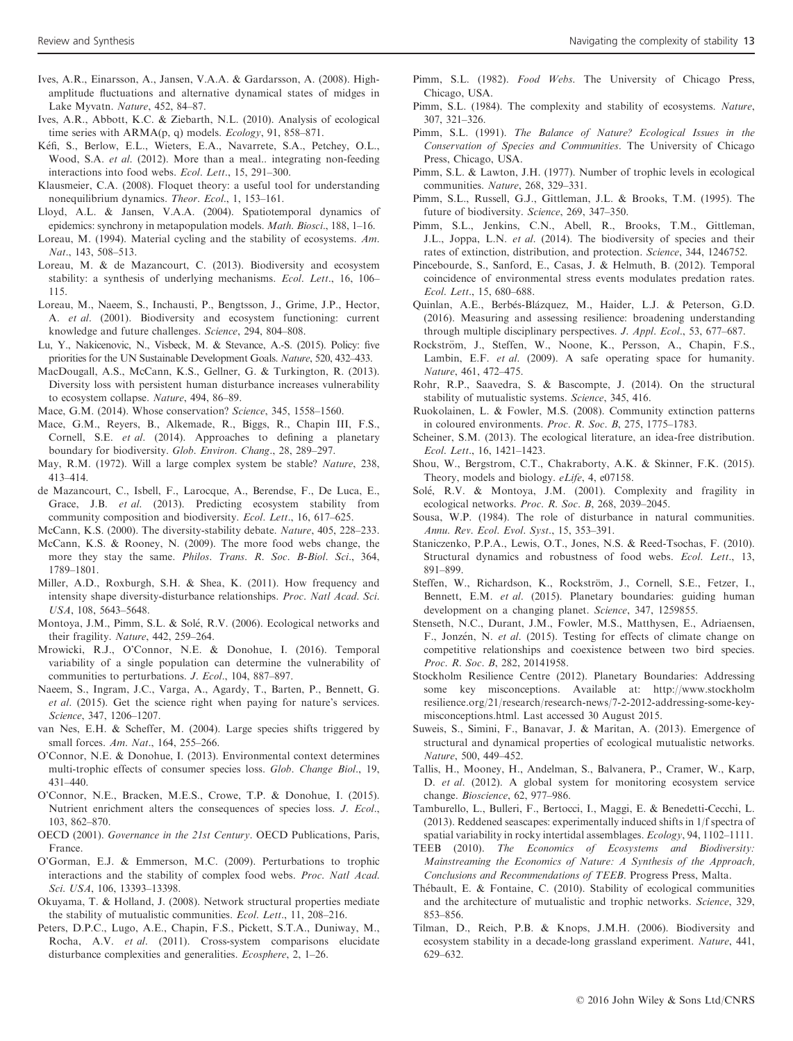- Ives, A.R., Einarsson, A., Jansen, V.A.A. & Gardarsson, A. (2008). Highamplitude fluctuations and alternative dynamical states of midges in Lake Myvatn. Nature, 452, 84–87.
- Ives, A.R., Abbott, K.C. & Ziebarth, N.L. (2010). Analysis of ecological time series with ARMA(p, q) models. Ecology, 91, 858–871.
- Kefi, S., Berlow, E.L., Wieters, E.A., Navarrete, S.A., Petchey, O.L., Wood, S.A. et al. (2012). More than a meal.. integrating non-feeding interactions into food webs. Ecol. Lett., 15, 291–300.
- Klausmeier, C.A. (2008). Floquet theory: a useful tool for understanding nonequilibrium dynamics. Theor. Ecol., 1, 153–161.
- Lloyd, A.L. & Jansen, V.A.A. (2004). Spatiotemporal dynamics of epidemics: synchrony in metapopulation models. Math. Biosci., 188, 1–16.
- Loreau, M. (1994). Material cycling and the stability of ecosystems. Am. Nat., 143, 508-513.
- Loreau, M. & de Mazancourt, C. (2013). Biodiversity and ecosystem stability: a synthesis of underlying mechanisms. Ecol. Lett., 16, 106– 115.
- Loreau, M., Naeem, S., Inchausti, P., Bengtsson, J., Grime, J.P., Hector, A. et al. (2001). Biodiversity and ecosystem functioning: current knowledge and future challenges. Science, 294, 804–808.
- Lu, Y., Nakicenovic, N., Visbeck, M. & Stevance, A.-S. (2015). Policy: five priorities for the UN Sustainable Development Goals. Nature, 520, 432–433.
- MacDougall, A.S., McCann, K.S., Gellner, G. & Turkington, R. (2013). Diversity loss with persistent human disturbance increases vulnerability to ecosystem collapse. Nature, 494, 86–89.
- Mace, G.M. (2014). Whose conservation? Science, 345, 1558–1560.
- Mace, G.M., Reyers, B., Alkemade, R., Biggs, R., Chapin III, F.S., Cornell, S.E. et al. (2014). Approaches to defining a planetary boundary for biodiversity. Glob. Environ. Chang., 28, 289–297.
- May, R.M. (1972). Will a large complex system be stable? Nature, 238, 413–414.
- de Mazancourt, C., Isbell, F., Larocque, A., Berendse, F., De Luca, E., Grace, J.B. *et al.* (2013). Predicting ecosystem stability from community composition and biodiversity. Ecol. Lett., 16, 617–625.
- McCann, K.S. (2000). The diversity-stability debate. Nature, 405, 228–233.
- McCann, K.S. & Rooney, N. (2009). The more food webs change, the more they stay the same. Philos. Trans. R. Soc. B-Biol. Sci., 364, 1789–1801.
- Miller, A.D., Roxburgh, S.H. & Shea, K. (2011). How frequency and intensity shape diversity-disturbance relationships. Proc. Natl Acad. Sci. USA, 108, 5643–5648.
- Montoya, J.M., Pimm, S.L. & Sole, R.V. (2006). Ecological networks and their fragility. Nature, 442, 259–264.
- Mrowicki, R.J., O'Connor, N.E. & Donohue, I. (2016). Temporal variability of a single population can determine the vulnerability of communities to perturbations. J. Ecol., 104, 887–897.
- Naeem, S., Ingram, J.C., Varga, A., Agardy, T., Barten, P., Bennett, G. et al. (2015). Get the science right when paying for nature's services. Science, 347, 1206–1207.
- van Nes, E.H. & Scheffer, M. (2004). Large species shifts triggered by small forces. Am. Nat., 164, 255–266.
- O'Connor, N.E. & Donohue, I. (2013). Environmental context determines multi-trophic effects of consumer species loss. Glob. Change Biol., 19, 431–440.
- O'Connor, N.E., Bracken, M.E.S., Crowe, T.P. & Donohue, I. (2015). Nutrient enrichment alters the consequences of species loss. J. Ecol., 103, 862–870.
- OECD (2001). Governance in the 21st Century. OECD Publications, Paris, France.
- O'Gorman, E.J. & Emmerson, M.C. (2009). Perturbations to trophic interactions and the stability of complex food webs. Proc. Natl Acad. Sci. USA, 106, 13393–13398.
- Okuyama, T. & Holland, J. (2008). Network structural properties mediate the stability of mutualistic communities. Ecol. Lett., 11, 208–216.
- Peters, D.P.C., Lugo, A.E., Chapin, F.S., Pickett, S.T.A., Duniway, M., Rocha, A.V. et al. (2011). Cross-system comparisons elucidate disturbance complexities and generalities. Ecosphere, 2, 1–26.
- Pimm, S.L. (1982). Food Webs. The University of Chicago Press, Chicago, USA.
- Pimm, S.L. (1984). The complexity and stability of ecosystems. Nature, 307, 321–326.
- Pimm, S.L. (1991). The Balance of Nature? Ecological Issues in the Conservation of Species and Communities. The University of Chicago Press, Chicago, USA.
- Pimm, S.L. & Lawton, J.H. (1977). Number of trophic levels in ecological communities. Nature, 268, 329–331.
- Pimm, S.L., Russell, G.J., Gittleman, J.L. & Brooks, T.M. (1995). The future of biodiversity. Science, 269, 347–350.
- Pimm, S.L., Jenkins, C.N., Abell, R., Brooks, T.M., Gittleman, J.L., Joppa, L.N. et al. (2014). The biodiversity of species and their rates of extinction, distribution, and protection. Science, 344, 1246752.
- Pincebourde, S., Sanford, E., Casas, J. & Helmuth, B. (2012). Temporal coincidence of environmental stress events modulates predation rates. Ecol. Lett., 15, 680–688.
- Quinlan, A.E., Berbés-Blázquez, M., Haider, L.J. & Peterson, G.D. (2016). Measuring and assessing resilience: broadening understanding through multiple disciplinary perspectives. J. Appl. Ecol., 53, 677–687.
- Rockström, J., Steffen, W., Noone, K., Persson, A., Chapin, F.S., Lambin, E.F. et al. (2009). A safe operating space for humanity. Nature, 461, 472–475.
- Rohr, R.P., Saavedra, S. & Bascompte, J. (2014). On the structural stability of mutualistic systems. Science, 345, 416.
- Ruokolainen, L. & Fowler, M.S. (2008). Community extinction patterns in coloured environments. Proc. R. Soc. B, 275, 1775–1783.
- Scheiner, S.M. (2013). The ecological literature, an idea-free distribution. Ecol. Lett., 16, 1421–1423.
- Shou, W., Bergstrom, C.T., Chakraborty, A.K. & Skinner, F.K. (2015). Theory, models and biology. eLife, 4, e07158.
- Sole, R.V. & Montoya, J.M. (2001). Complexity and fragility in ecological networks. Proc. R. Soc. B, 268, 2039–2045.
- Sousa, W.P. (1984). The role of disturbance in natural communities. Annu. Rev. Ecol. Evol. Syst., 15, 353–391.
- Staniczenko, P.P.A., Lewis, O.T., Jones, N.S. & Reed-Tsochas, F. (2010). Structural dynamics and robustness of food webs. Ecol. Lett., 13, 891–899.
- Steffen, W., Richardson, K., Rockström, J., Cornell, S.E., Fetzer, I., Bennett, E.M. et al. (2015). Planetary boundaries: guiding human development on a changing planet. Science, 347, 1259855.
- Stenseth, N.C., Durant, J.M., Fowler, M.S., Matthysen, E., Adriaensen, F., Jonzén, N. et al. (2015). Testing for effects of climate change on competitive relationships and coexistence between two bird species. Proc. R. Soc. B, 282, 20141958.
- Stockholm Resilience Centre (2012). Planetary Boundaries: Addressing some key misconceptions. Available at: [http://www.stockholm](http://www.stockholmresilience.org/21/research/research-news/7-2-2012-addressing-some-key-misconceptions.html) [resilience.org/21/research/research-news/7-2-2012-addressing-some-key](http://www.stockholmresilience.org/21/research/research-news/7-2-2012-addressing-some-key-misconceptions.html)[misconceptions.html](http://www.stockholmresilience.org/21/research/research-news/7-2-2012-addressing-some-key-misconceptions.html). Last accessed 30 August 2015.
- Suweis, S., Simini, F., Banavar, J. & Maritan, A. (2013). Emergence of structural and dynamical properties of ecological mutualistic networks. Nature, 500, 449–452.
- Tallis, H., Mooney, H., Andelman, S., Balvanera, P., Cramer, W., Karp, D. et al. (2012). A global system for monitoring ecosystem service change. Bioscience, 62, 977–986.
- Tamburello, L., Bulleri, F., Bertocci, I., Maggi, E. & Benedetti-Cecchi, L. (2013). Reddened seascapes: experimentally induced shifts in 1/f spectra of spatial variability in rocky intertidal assemblages. Ecology, 94, 1102–1111.
- TEEB (2010). The Economics of Ecosystems and Biodiversity: Mainstreaming the Economics of Nature: A Synthesis of the Approach, Conclusions and Recommendations of TEEB. Progress Press, Malta.
- Thebault, E. & Fontaine, C. (2010). Stability of ecological communities and the architecture of mutualistic and trophic networks. Science, 329, 853–856.
- Tilman, D., Reich, P.B. & Knops, J.M.H. (2006). Biodiversity and ecosystem stability in a decade-long grassland experiment. Nature, 441, 629–632.